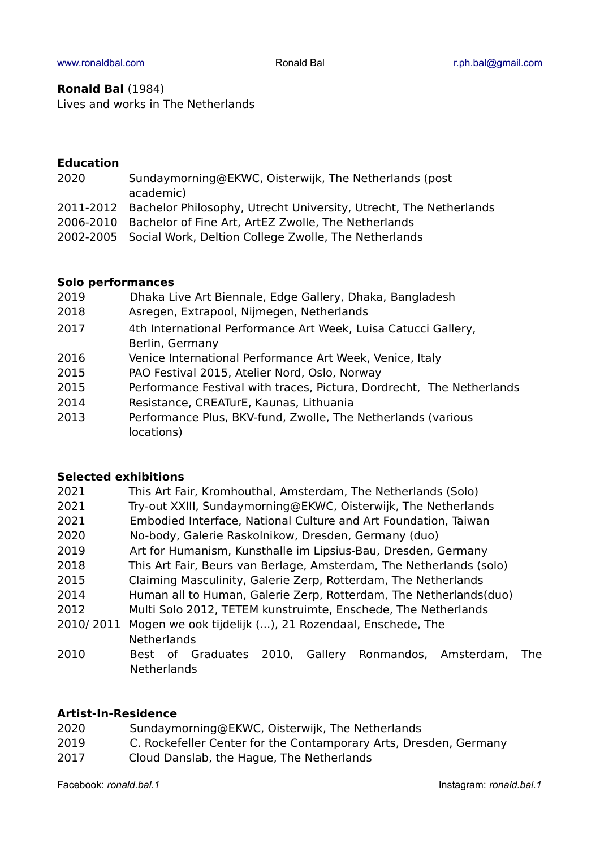#### **Ronald Bal** (1984)

Lives and works in The Netherlands

#### **Education**

- 2020 Sundaymorning@EKWC, Oisterwijk, The Netherlands (post academic)
- 2011-2012 Bachelor Philosophy, Utrecht University, Utrecht, The Netherlands
- 2006-2010 Bachelor of Fine Art, ArtEZ Zwolle, The Netherlands
- 2002-2005 Social Work, Deltion College Zwolle, The Netherlands

### **Solo performances**

- 2019 Dhaka Live Art Biennale, Edge Gallery, Dhaka, Bangladesh
- 2018 Asregen, Extrapool, Nijmegen, Netherlands
- 2017 4th International Performance Art Week, Luisa Catucci Gallery, Berlin, Germany
- 2016 Venice International Performance Art Week, Venice, Italy
- 2015 PAO Festival 2015, Atelier Nord, Oslo, Norway
- 2015 Performance Festival with traces, Pictura, Dordrecht, The Netherlands
- 2014 Resistance, CREATurE, Kaunas, Lithuania
- 2013 Performance Plus, BKV-fund, Zwolle, The Netherlands (various locations)

#### **Selected exhibitions**

| 2021      | This Art Fair, Kromhouthal, Amsterdam, The Netherlands (Solo)       |
|-----------|---------------------------------------------------------------------|
| 2021      | Try-out XXIII, Sundaymorning@EKWC, Oisterwijk, The Netherlands      |
| 2021      | Embodied Interface, National Culture and Art Foundation, Taiwan     |
| 2020      | No-body, Galerie Raskolnikow, Dresden, Germany (duo)                |
| 2019      | Art for Humanism, Kunsthalle im Lipsius-Bau, Dresden, Germany       |
| 2018      | This Art Fair, Beurs van Berlage, Amsterdam, The Netherlands (solo) |
| 2015      | Claiming Masculinity, Galerie Zerp, Rotterdam, The Netherlands      |
| 2014      | Human all to Human, Galerie Zerp, Rotterdam, The Netherlands(duo)   |
| 2012      | Multi Solo 2012, TETEM kunstruimte, Enschede, The Netherlands       |
| 2010/2011 | Mogen we ook tijdelijk (), 21 Rozendaal, Enschede, The              |
|           | <b>Netherlands</b>                                                  |
| 2010      | Best of Graduates 2010. Gallery Ronmandos. Amsterdam.               |

2010 Best of Graduates 2010, Gallery Ronmandos, Amsterdam, The **Netherlands** 

# **Artist-In-Residence**

- 2020 Sundaymorning@EKWC, Oisterwijk, The Netherlands
- 2019 C. Rockefeller Center for the Contamporary Arts, Dresden, Germany
- 2017 Cloud Danslab, the Hague, The Netherlands